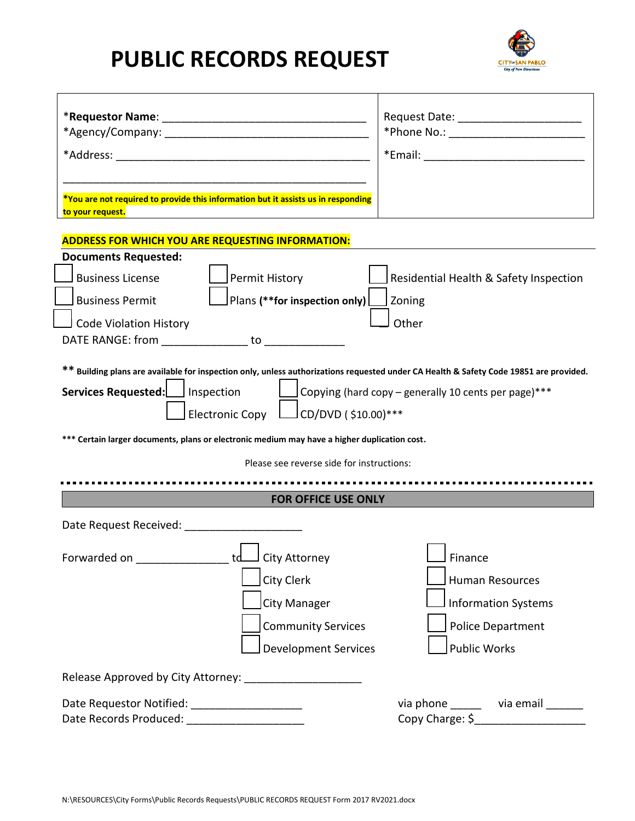## **PUBLIC RECORDS REQUEST**



|                                                                                                                                                                                                                                                                                                                                                              | Request Date: ___________________________                                                                                 |
|--------------------------------------------------------------------------------------------------------------------------------------------------------------------------------------------------------------------------------------------------------------------------------------------------------------------------------------------------------------|---------------------------------------------------------------------------------------------------------------------------|
| *You are not required to provide this information but it assists us in responding<br>to your request.                                                                                                                                                                                                                                                        |                                                                                                                           |
| <b>ADDRESS FOR WHICH YOU ARE REQUESTING INFORMATION:</b>                                                                                                                                                                                                                                                                                                     |                                                                                                                           |
| <b>Documents Requested:</b><br><b>Business License</b><br>Permit History<br>$ $ Plans (**for inspection only) $ $<br><b>Business Permit</b><br><b>Code Violation History</b><br>** Building plans are available for inspection only, unless authorizations requested under CA Health & Safety Code 19851 are provided.<br>Services Requested:     Inspection | Residential Health & Safety Inspection<br>Zoning<br>Other<br>$\Box$ Copying (hard copy – generally 10 cents per page)***  |
| Electronic Copy LUCD/DVD (\$10.00)***<br>*** Certain larger documents, plans or electronic medium may have a higher duplication cost.                                                                                                                                                                                                                        |                                                                                                                           |
| Please see reverse side for instructions:                                                                                                                                                                                                                                                                                                                    |                                                                                                                           |
|                                                                                                                                                                                                                                                                                                                                                              |                                                                                                                           |
| <b>FOR OFFICE USE ONLY</b>                                                                                                                                                                                                                                                                                                                                   |                                                                                                                           |
| Date Request Received: National Assembly                                                                                                                                                                                                                                                                                                                     |                                                                                                                           |
| Forwarded on ____________________td______ City Attorney<br>City Clerk<br><b>City Manager</b><br><b>Community Services</b><br><b>Development Services</b>                                                                                                                                                                                                     | $\Box$ Finance<br><b>Human Resources</b><br><b>Information Systems</b><br><b>Police Department</b><br><b>Public Works</b> |
|                                                                                                                                                                                                                                                                                                                                                              |                                                                                                                           |
| Date Requestor Notified: _____________________<br>Date Records Produced: _____________________                                                                                                                                                                                                                                                               | via phone _______ via email _______<br>Copy Charge: \$_____________________                                               |